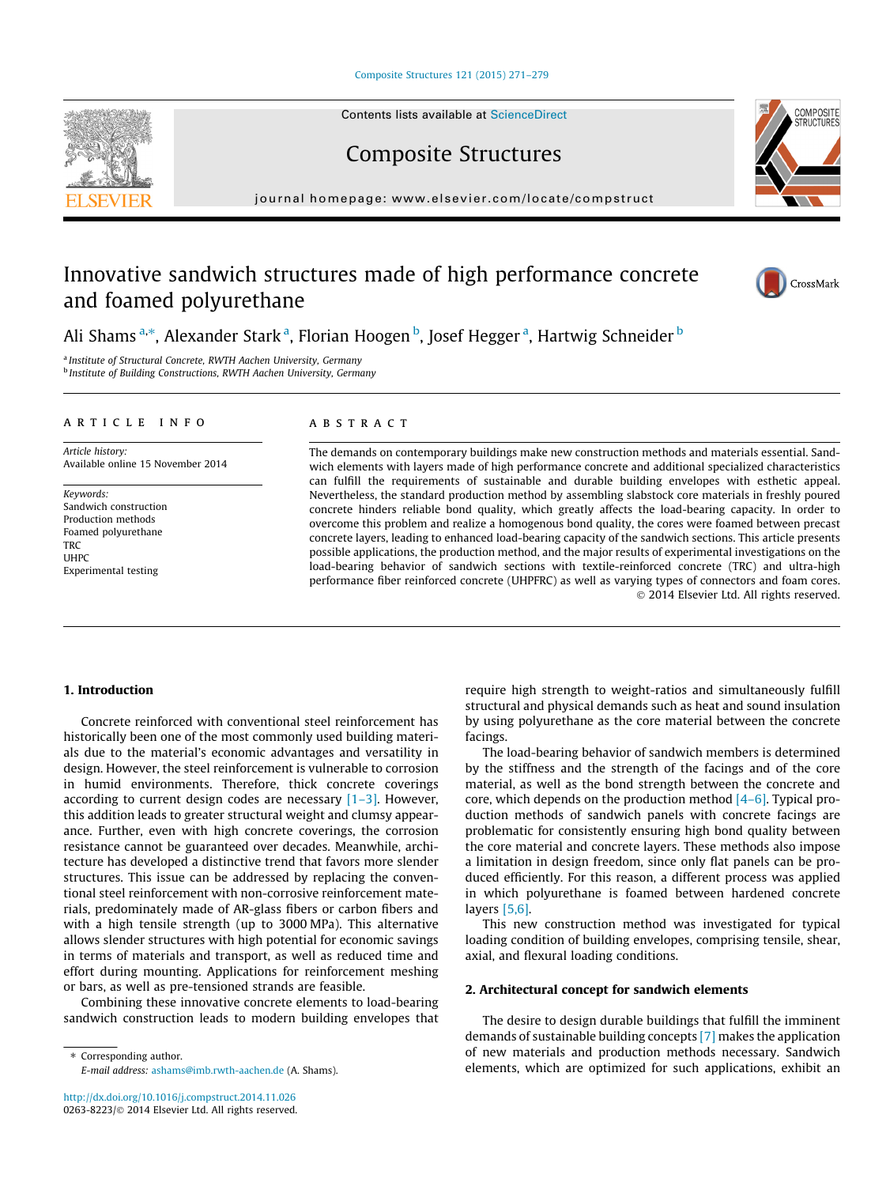#### [Composite Structures 121 \(2015\) 271–279](http://dx.doi.org/10.1016/j.compstruct.2014.11.026)

Contents lists available at [ScienceDirect](http://www.sciencedirect.com/science/journal/02638223)

Composite Structures

journal homepage: [www.elsevier.com/locate/compstruct](http://www.elsevier.com/locate/compstruct)

# Innovative sandwich structures made of high performance concrete and foamed polyurethane

Ali Shams <sup>a,</sup>\*, Alexander Stark <sup>a</sup>, Florian Hoogen <sup>b</sup>, Josef Hegger <sup>a</sup>, Hartwig Schneider <sup>b</sup>

<sup>a</sup> Institute of Structural Concrete, RWTH Aachen University, Germany **b** Institute of Building Constructions, RWTH Aachen University, Germany

#### article info

Article history: Available online 15 November 2014

Keywords: Sandwich construction Production methods Foamed polyurethane **TRC** UHPC Experimental testing

#### ABSTRACT

The demands on contemporary buildings make new construction methods and materials essential. Sandwich elements with layers made of high performance concrete and additional specialized characteristics can fulfill the requirements of sustainable and durable building envelopes with esthetic appeal. Nevertheless, the standard production method by assembling slabstock core materials in freshly poured concrete hinders reliable bond quality, which greatly affects the load-bearing capacity. In order to overcome this problem and realize a homogenous bond quality, the cores were foamed between precast concrete layers, leading to enhanced load-bearing capacity of the sandwich sections. This article presents possible applications, the production method, and the major results of experimental investigations on the load-bearing behavior of sandwich sections with textile-reinforced concrete (TRC) and ultra-high performance fiber reinforced concrete (UHPFRC) as well as varying types of connectors and foam cores. - 2014 Elsevier Ltd. All rights reserved.

facings.

## 1. Introduction

Concrete reinforced with conventional steel reinforcement has historically been one of the most commonly used building materials due to the material's economic advantages and versatility in design. However, the steel reinforcement is vulnerable to corrosion in humid environments. Therefore, thick concrete coverings according to current design codes are necessary  $[1-3]$ . However, this addition leads to greater structural weight and clumsy appearance. Further, even with high concrete coverings, the corrosion resistance cannot be guaranteed over decades. Meanwhile, architecture has developed a distinctive trend that favors more slender structures. This issue can be addressed by replacing the conventional steel reinforcement with non-corrosive reinforcement materials, predominately made of AR-glass fibers or carbon fibers and with a high tensile strength (up to 3000 MPa). This alternative allows slender structures with high potential for economic savings in terms of materials and transport, as well as reduced time and effort during mounting. Applications for reinforcement meshing or bars, as well as pre-tensioned strands are feasible.

Combining these innovative concrete elements to load-bearing sandwich construction leads to modern building envelopes that

⇑ Corresponding author. E-mail address: [ashams@imb.rwth-aachen.de](mailto:ashams@imb.rwth-aachen.de) (A. Shams). layers [\[5,6\].](#page--1-0) This new construction method was investigated for typical loading condition of building envelopes, comprising tensile, shear, axial, and flexural loading conditions.

require high strength to weight-ratios and simultaneously fulfill structural and physical demands such as heat and sound insulation by using polyurethane as the core material between the concrete

The load-bearing behavior of sandwich members is determined by the stiffness and the strength of the facings and of the core material, as well as the bond strength between the concrete and core, which depends on the production method  $[4-6]$ . Typical production methods of sandwich panels with concrete facings are problematic for consistently ensuring high bond quality between the core material and concrete layers. These methods also impose a limitation in design freedom, since only flat panels can be produced efficiently. For this reason, a different process was applied in which polyurethane is foamed between hardened concrete

### 2. Architectural concept for sandwich elements

The desire to design durable buildings that fulfill the imminent demands of sustainable building concepts [\[7\]](#page--1-0) makes the application of new materials and production methods necessary. Sandwich elements, which are optimized for such applications, exhibit an





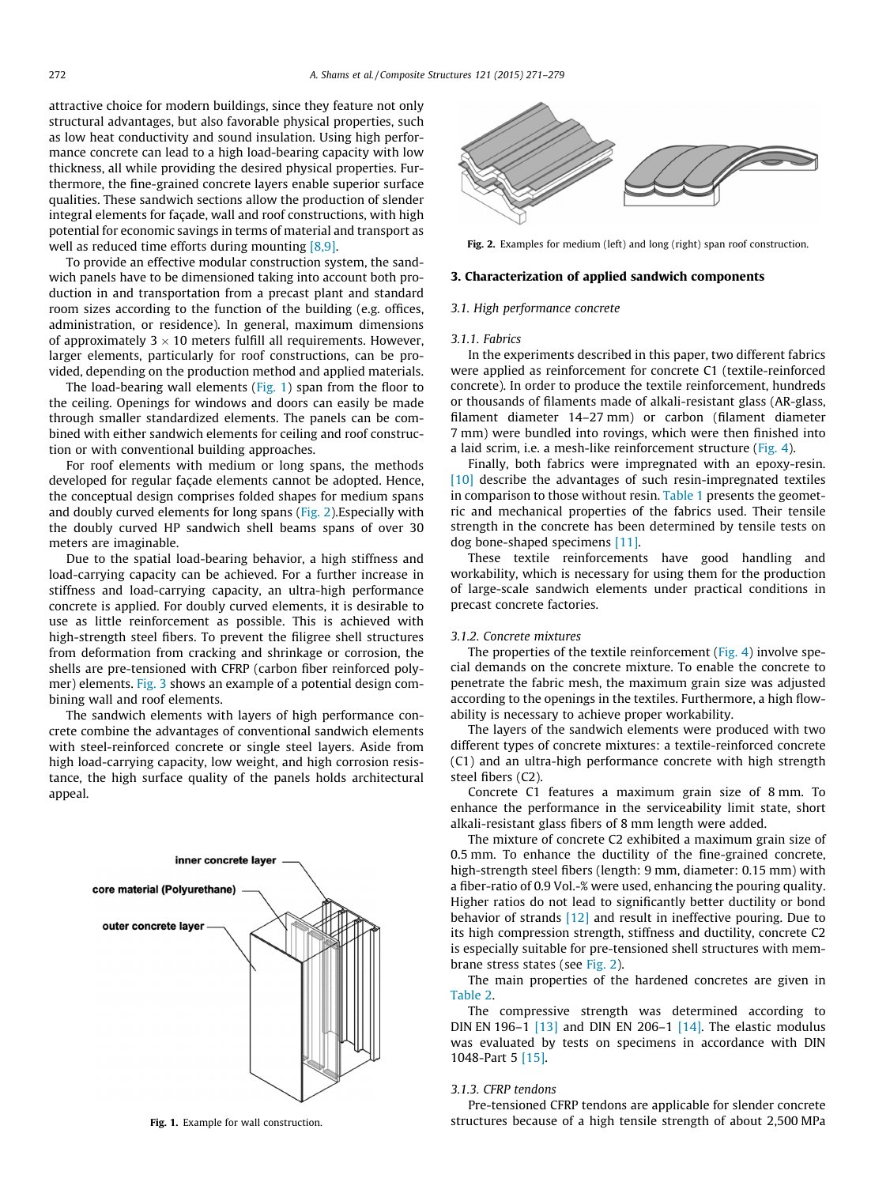attractive choice for modern buildings, since they feature not only structural advantages, but also favorable physical properties, such as low heat conductivity and sound insulation. Using high performance concrete can lead to a high load-bearing capacity with low thickness, all while providing the desired physical properties. Furthermore, the fine-grained concrete layers enable superior surface qualities. These sandwich sections allow the production of slender integral elements for façade, wall and roof constructions, with high potential for economic savings in terms of material and transport as well as reduced time efforts during mounting [\[8,9\].](#page--1-0)

To provide an effective modular construction system, the sandwich panels have to be dimensioned taking into account both production in and transportation from a precast plant and standard room sizes according to the function of the building (e.g. offices, administration, or residence). In general, maximum dimensions of approximately 3  $\times$  10 meters fulfill all requirements. However, larger elements, particularly for roof constructions, can be provided, depending on the production method and applied materials.

The load-bearing wall elements (Fig. 1) span from the floor to the ceiling. Openings for windows and doors can easily be made through smaller standardized elements. The panels can be combined with either sandwich elements for ceiling and roof construction or with conventional building approaches.

For roof elements with medium or long spans, the methods developed for regular façade elements cannot be adopted. Hence, the conceptual design comprises folded shapes for medium spans and doubly curved elements for long spans (Fig. 2).Especially with the doubly curved HP sandwich shell beams spans of over 30 meters are imaginable.

Due to the spatial load-bearing behavior, a high stiffness and load-carrying capacity can be achieved. For a further increase in stiffness and load-carrying capacity, an ultra-high performance concrete is applied. For doubly curved elements, it is desirable to use as little reinforcement as possible. This is achieved with high-strength steel fibers. To prevent the filigree shell structures from deformation from cracking and shrinkage or corrosion, the shells are pre-tensioned with CFRP (carbon fiber reinforced polymer) elements. [Fig. 3](#page--1-0) shows an example of a potential design combining wall and roof elements.

The sandwich elements with layers of high performance concrete combine the advantages of conventional sandwich elements with steel-reinforced concrete or single steel layers. Aside from high load-carrying capacity, low weight, and high corrosion resistance, the high surface quality of the panels holds architectural appeal.





Fig. 2. Examples for medium (left) and long (right) span roof construction.

#### 3. Characterization of applied sandwich components

#### 3.1. High performance concrete

#### 3.1.1. Fabrics

In the experiments described in this paper, two different fabrics were applied as reinforcement for concrete C1 (textile-reinforced concrete). In order to produce the textile reinforcement, hundreds or thousands of filaments made of alkali-resistant glass (AR-glass, filament diameter 14–27 mm) or carbon (filament diameter 7 mm) were bundled into rovings, which were then finished into a laid scrim, i.e. a mesh-like reinforcement structure [\(Fig. 4\)](#page--1-0).

Finally, both fabrics were impregnated with an epoxy-resin. [\[10\]](#page--1-0) describe the advantages of such resin-impregnated textiles in comparison to those without resin. [Table 1](#page--1-0) presents the geometric and mechanical properties of the fabrics used. Their tensile strength in the concrete has been determined by tensile tests on dog bone-shaped specimens [\[11\]](#page--1-0).

These textile reinforcements have good handling and workability, which is necessary for using them for the production of large-scale sandwich elements under practical conditions in precast concrete factories.

#### 3.1.2. Concrete mixtures

The properties of the textile reinforcement ([Fig. 4](#page--1-0)) involve special demands on the concrete mixture. To enable the concrete to penetrate the fabric mesh, the maximum grain size was adjusted according to the openings in the textiles. Furthermore, a high flowability is necessary to achieve proper workability.

The layers of the sandwich elements were produced with two different types of concrete mixtures: a textile-reinforced concrete (C1) and an ultra-high performance concrete with high strength steel fibers (C2).

Concrete C1 features a maximum grain size of 8 mm. To enhance the performance in the serviceability limit state, short alkali-resistant glass fibers of 8 mm length were added.

The mixture of concrete C2 exhibited a maximum grain size of 0.5 mm. To enhance the ductility of the fine-grained concrete, high-strength steel fibers (length: 9 mm, diameter: 0.15 mm) with a fiber-ratio of 0.9 Vol.-% were used, enhancing the pouring quality. Higher ratios do not lead to significantly better ductility or bond behavior of strands [\[12\]](#page--1-0) and result in ineffective pouring. Due to its high compression strength, stiffness and ductility, concrete C2 is especially suitable for pre-tensioned shell structures with membrane stress states (see Fig. 2).

The main properties of the hardened concretes are given in [Table 2](#page--1-0).

The compressive strength was determined according to DIN EN 196-1  $[13]$  and DIN EN 206-1  $[14]$ . The elastic modulus was evaluated by tests on specimens in accordance with DIN 1048-Part 5 [\[15\].](#page--1-0)

# 3.1.3. CFRP tendons

Pre-tensioned CFRP tendons are applicable for slender concrete Fig. 1. Example for wall construction. structures because of a high tensile strength of about 2,500 MPa